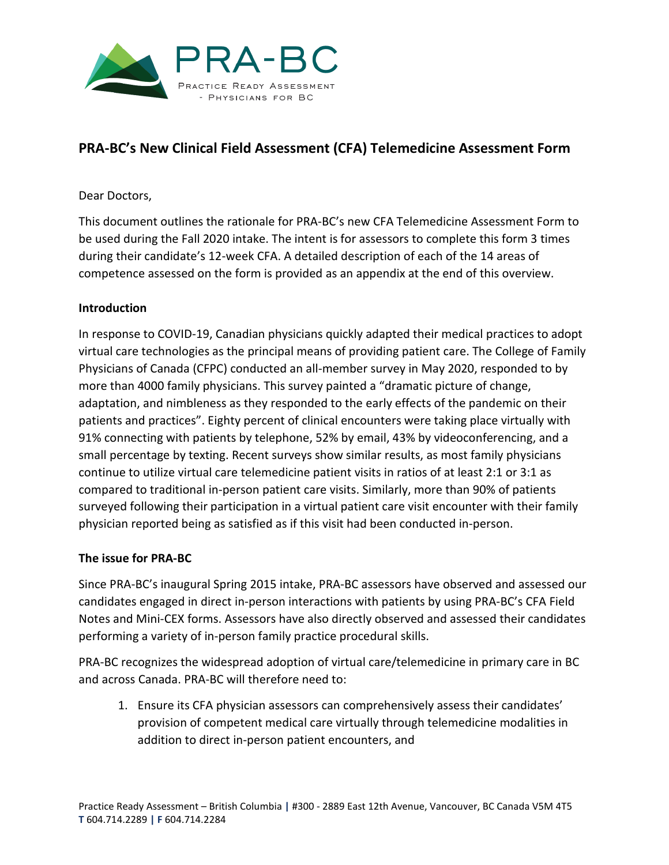

# **PRA-BC's New Clinical Field Assessment (CFA) Telemedicine Assessment Form**

## Dear Doctors,

This document outlines the rationale for PRA-BC's new CFA Telemedicine Assessment Form to be used during the Fall 2020 intake. The intent is for assessors to complete this form 3 times during their candidate's 12-week CFA. A detailed description of each of the 14 areas of competence assessed on the form is provided as an appendix at the end of this overview.

#### **Introduction**

In response to COVID-19, Canadian physicians quickly adapted their medical practices to adopt virtual care technologies as the principal means of providing patient care. The College of Family Physicians of Canada (CFPC) conducted an all-member survey in May 2020, responded to by more than 4000 family physicians. This survey painted a "dramatic picture of change, adaptation, and nimbleness as they responded to the early effects of the pandemic on their patients and practices". Eighty percent of clinical encounters were taking place virtually with 91% connecting with patients by telephone, 52% by email, 43% by videoconferencing, and a small percentage by texting. Recent surveys show similar results, as most family physicians continue to utilize virtual care telemedicine patient visits in ratios of at least 2:1 or 3:1 as compared to traditional in-person patient care visits. Similarly, more than 90% of patients surveyed following their participation in a virtual patient care visit encounter with their family physician reported being as satisfied as if this visit had been conducted in-person.

#### **The issue for PRA-BC**

Since PRA-BC's inaugural Spring 2015 intake, PRA-BC assessors have observed and assessed our candidates engaged in direct in-person interactions with patients by using PRA-BC's CFA Field Notes and Mini-CEX forms. Assessors have also directly observed and assessed their candidates performing a variety of in-person family practice procedural skills.

PRA-BC recognizes the widespread adoption of virtual care/telemedicine in primary care in BC and across Canada. PRA-BC will therefore need to:

1. Ensure its CFA physician assessors can comprehensively assess their candidates' provision of competent medical care virtually through telemedicine modalities in addition to direct in-person patient encounters, and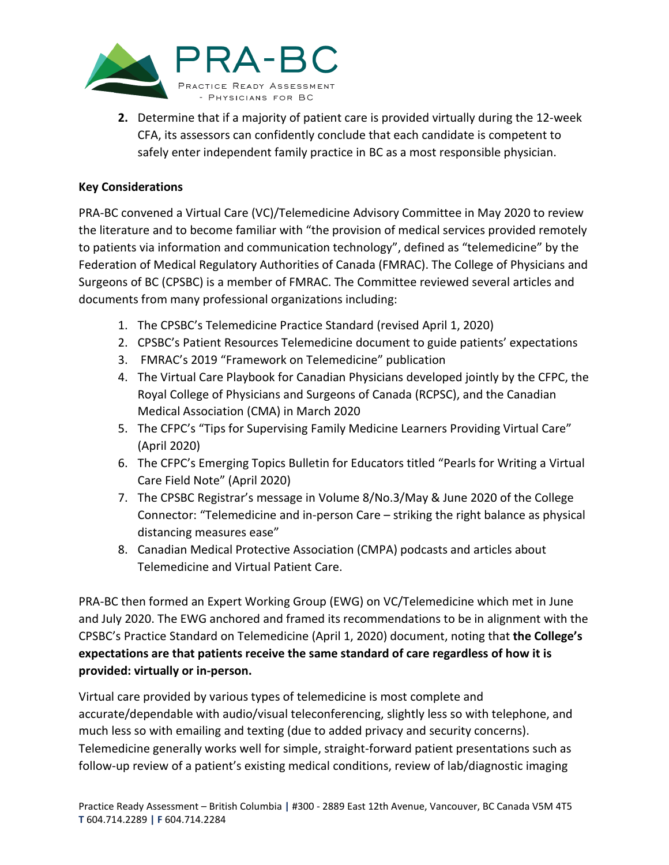

**2.** Determine that if a majority of patient care is provided virtually during the 12-week CFA, its assessors can confidently conclude that each candidate is competent to safely enter independent family practice in BC as a most responsible physician.

## **Key Considerations**

PRA-BC convened a Virtual Care (VC)/Telemedicine Advisory Committee in May 2020 to review the literature and to become familiar with "the provision of medical services provided remotely to patients via information and communication technology", defined as "telemedicine" by the Federation of Medical Regulatory Authorities of Canada (FMRAC). The College of Physicians and Surgeons of BC (CPSBC) is a member of FMRAC. The Committee reviewed several articles and documents from many professional organizations including:

- 1. The CPSBC's Telemedicine Practice Standard (revised April 1, 2020)
- 2. CPSBC's Patient Resources Telemedicine document to guide patients' expectations
- 3. FMRAC's 2019 "Framework on Telemedicine" publication
- 4. The Virtual Care Playbook for Canadian Physicians developed jointly by the CFPC, the Royal College of Physicians and Surgeons of Canada (RCPSC), and the Canadian Medical Association (CMA) in March 2020
- 5. The CFPC's "Tips for Supervising Family Medicine Learners Providing Virtual Care" (April 2020)
- 6. The CFPC's Emerging Topics Bulletin for Educators titled "Pearls for Writing a Virtual Care Field Note" (April 2020)
- 7. The CPSBC Registrar's message in Volume 8/No.3/May & June 2020 of the College Connector: "Telemedicine and in-person Care – striking the right balance as physical distancing measures ease"
- 8. Canadian Medical Protective Association (CMPA) podcasts and articles about Telemedicine and Virtual Patient Care.

PRA-BC then formed an Expert Working Group (EWG) on VC/Telemedicine which met in June and July 2020. The EWG anchored and framed its recommendations to be in alignment with the CPSBC's Practice Standard on Telemedicine (April 1, 2020) document, noting that **the College's expectations are that patients receive the same standard of care regardless of how it is provided: virtually or in-person.**

Virtual care provided by various types of telemedicine is most complete and accurate/dependable with audio/visual teleconferencing, slightly less so with telephone, and much less so with emailing and texting (due to added privacy and security concerns). Telemedicine generally works well for simple, straight-forward patient presentations such as follow-up review of a patient's existing medical conditions, review of lab/diagnostic imaging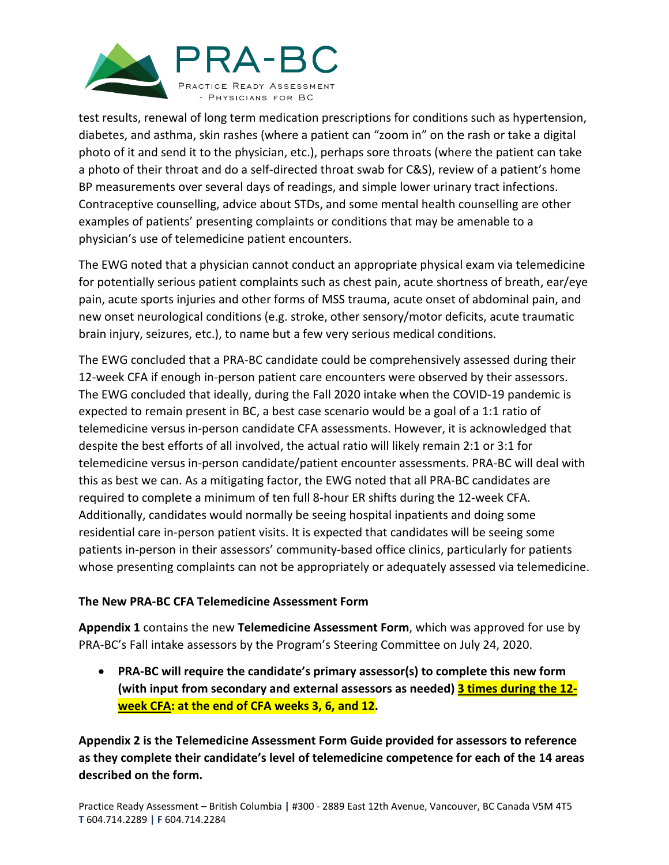

test results, renewal of long term medication prescriptions for conditions such as hypertension, diabetes, and asthma, skin rashes (where a patient can "zoom in" on the rash or take a digital photo of it and send it to the physician, etc.), perhaps sore throats (where the patient can take a photo of their throat and do a self-directed throat swab for C&S), review of a patient's home BP measurements over several days of readings, and simple lower urinary tract infections. Contraceptive counselling, advice about STDs, and some mental health counselling are other examples of patients' presenting complaints or conditions that may be amenable to a physician's use of telemedicine patient encounters.

The EWG noted that a physician cannot conduct an appropriate physical exam via telemedicine for potentially serious patient complaints such as chest pain, acute shortness of breath, ear/eye pain, acute sports injuries and other forms of MSS trauma, acute onset of abdominal pain, and new onset neurological conditions (e.g. stroke, other sensory/motor deficits, acute traumatic brain injury, seizures, etc.), to name but a few very serious medical conditions.

The EWG concluded that a PRA-BC candidate could be comprehensively assessed during their 12-week CFA if enough in-person patient care encounters were observed by their assessors. The EWG concluded that ideally, during the Fall 2020 intake when the COVID-19 pandemic is expected to remain present in BC, a best case scenario would be a goal of a 1:1 ratio of telemedicine versus in-person candidate CFA assessments. However, it is acknowledged that despite the best efforts of all involved, the actual ratio will likely remain 2:1 or 3:1 for telemedicine versus in-person candidate/patient encounter assessments. PRA-BC will deal with this as best we can. As a mitigating factor, the EWG noted that all PRA-BC candidates are required to complete a minimum of ten full 8-hour ER shifts during the 12-week CFA. Additionally, candidates would normally be seeing hospital inpatients and doing some residential care in-person patient visits. It is expected that candidates will be seeing some patients in-person in their assessors' community-based office clinics, particularly for patients whose presenting complaints can not be appropriately or adequately assessed via telemedicine.

## **The New PRA-BC CFA Telemedicine Assessment Form**

**Appendix 1** contains the new **Telemedicine Assessment Form**, which was approved for use by PRA-BC's Fall intake assessors by the Program's Steering Committee on July 24, 2020.

• **PRA-BC will require the candidate's primary assessor(s) to complete this new form (with input from secondary and external assessors as needed) 3 times during the 12 week CFA: at the end of CFA weeks 3, 6, and 12.**

**Appendix 2 is the Telemedicine Assessment Form Guide provided for assessors to reference as they complete their candidate's level of telemedicine competence for each of the 14 areas described on the form.**